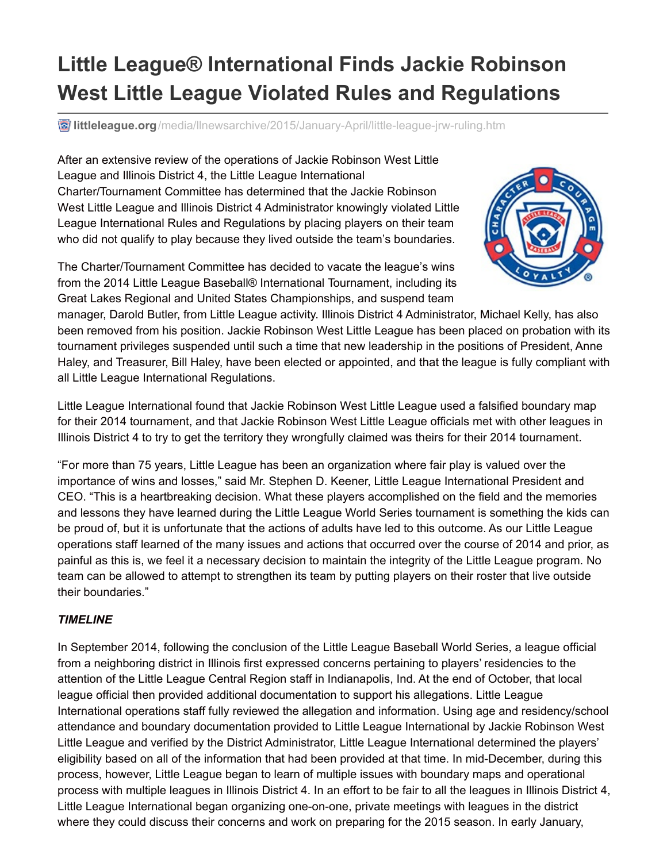## **Little League® International Finds Jackie Robinson West Little League Violated Rules and Regulations**

*d* littleleague.org[/media/llnewsarchive/2015/January-April/little-league-jrw-ruling.htm](http://www.littleleague.org/media/llnewsarchive/2015/January-April/little-league-jrw-ruling.htm)

After an extensive review of the operations of Jackie Robinson West Little League and Illinois District 4, the Little League International Charter/Tournament Committee has determined that the Jackie Robinson West Little League and Illinois District 4 Administrator knowingly violated Little League International Rules and Regulations by placing players on their team who did not qualify to play because they lived outside the team's boundaries.

The Charter/Tournament Committee has decided to vacate the league's wins from the 2014 Little League Baseball® International Tournament, including its Great Lakes Regional and United States Championships, and suspend team



manager, Darold Butler, from Little League activity. Illinois District 4 Administrator, Michael Kelly, has also been removed from his position. Jackie Robinson West Little League has been placed on probation with its tournament privileges suspended until such a time that new leadership in the positions of President, Anne Haley, and Treasurer, Bill Haley, have been elected or appointed, and that the league is fully compliant with all Little League International Regulations.

Little League International found that Jackie Robinson West Little League used a falsified boundary map for their 2014 tournament, and that Jackie Robinson West Little League officials met with other leagues in Illinois District 4 to try to get the territory they wrongfully claimed was theirs for their 2014 tournament.

"For more than 75 years, Little League has been an organization where fair play is valued over the importance of wins and losses," said Mr. Stephen D. Keener, Little League International President and CEO. "This is a heartbreaking decision. What these players accomplished on the field and the memories and lessons they have learned during the Little League World Series tournament is something the kids can be proud of, but it is unfortunate that the actions of adults have led to this outcome. As our Little League operations staff learned of the many issues and actions that occurred over the course of 2014 and prior, as painful as this is, we feel it a necessary decision to maintain the integrity of the Little League program. No team can be allowed to attempt to strengthen its team by putting players on their roster that live outside their boundaries."

## *TIMELINE*

In September 2014, following the conclusion of the Little League Baseball World Series, a league official from a neighboring district in Illinois first expressed concerns pertaining to players' residencies to the attention of the Little League Central Region staff in Indianapolis, Ind. At the end of October, that local league official then provided additional documentation to support his allegations. Little League International operations staff fully reviewed the allegation and information. Using age and residency/school attendance and boundary documentation provided to Little League International by Jackie Robinson West Little League and verified by the District Administrator, Little League International determined the players' eligibility based on all of the information that had been provided at that time. In mid-December, during this process, however, Little League began to learn of multiple issues with boundary maps and operational process with multiple leagues in Illinois District 4. In an effort to be fair to all the leagues in Illinois District 4, Little League International began organizing one-on-one, private meetings with leagues in the district where they could discuss their concerns and work on preparing for the 2015 season. In early January,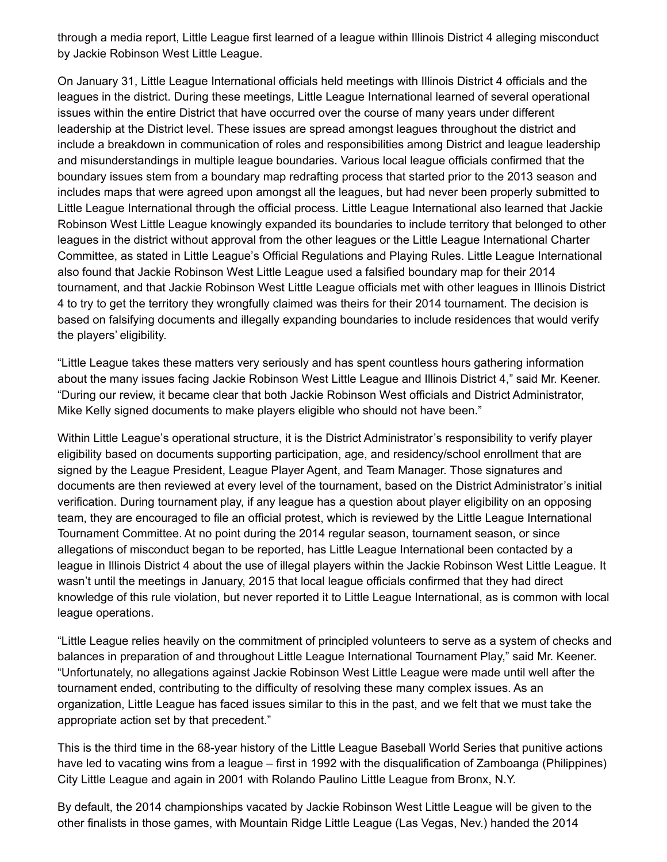through a media report, Little League first learned of a league within Illinois District 4 alleging misconduct by Jackie Robinson West Little League.

On January 31, Little League International officials held meetings with Illinois District 4 officials and the leagues in the district. During these meetings, Little League International learned of several operational issues within the entire District that have occurred over the course of many years under different leadership at the District level. These issues are spread amongst leagues throughout the district and include a breakdown in communication of roles and responsibilities among District and league leadership and misunderstandings in multiple league boundaries. Various local league officials confirmed that the boundary issues stem from a boundary map redrafting process that started prior to the 2013 season and includes maps that were agreed upon amongst all the leagues, but had never been properly submitted to Little League International through the official process. Little League International also learned that Jackie Robinson West Little League knowingly expanded its boundaries to include territory that belonged to other leagues in the district without approval from the other leagues or the Little League International Charter Committee, as stated in Little League's Official Regulations and Playing Rules. Little League International also found that Jackie Robinson West Little League used a falsified boundary map for their 2014 tournament, and that Jackie Robinson West Little League officials met with other leagues in Illinois District 4 to try to get the territory they wrongfully claimed was theirs for their 2014 tournament. The decision is based on falsifying documents and illegally expanding boundaries to include residences that would verify the players' eligibility.

"Little League takes these matters very seriously and has spent countless hours gathering information about the many issues facing Jackie Robinson West Little League and Illinois District 4," said Mr. Keener. "During our review, it became clear that both Jackie Robinson West officials and District Administrator, Mike Kelly signed documents to make players eligible who should not have been."

Within Little League's operational structure, it is the District Administrator's responsibility to verify player eligibility based on documents supporting participation, age, and residency/school enrollment that are signed by the League President, League Player Agent, and Team Manager. Those signatures and documents are then reviewed at every level of the tournament, based on the District Administrator's initial verification. During tournament play, if any league has a question about player eligibility on an opposing team, they are encouraged to file an official protest, which is reviewed by the Little League International Tournament Committee. At no point during the 2014 regular season, tournament season, or since allegations of misconduct began to be reported, has Little League International been contacted by a league in Illinois District 4 about the use of illegal players within the Jackie Robinson West Little League. It wasn't until the meetings in January, 2015 that local league officials confirmed that they had direct knowledge of this rule violation, but never reported it to Little League International, as is common with local league operations.

"Little League relies heavily on the commitment of principled volunteers to serve as a system of checks and balances in preparation of and throughout Little League International Tournament Play," said Mr. Keener. "Unfortunately, no allegations against Jackie Robinson West Little League were made until well after the tournament ended, contributing to the difficulty of resolving these many complex issues. As an organization, Little League has faced issues similar to this in the past, and we felt that we must take the appropriate action set by that precedent."

This is the third time in the 68-year history of the Little League Baseball World Series that punitive actions have led to vacating wins from a league – first in 1992 with the disqualification of Zamboanga (Philippines) City Little League and again in 2001 with Rolando Paulino Little League from Bronx, N.Y.

By default, the 2014 championships vacated by Jackie Robinson West Little League will be given to the other finalists in those games, with Mountain Ridge Little League (Las Vegas, Nev.) handed the 2014